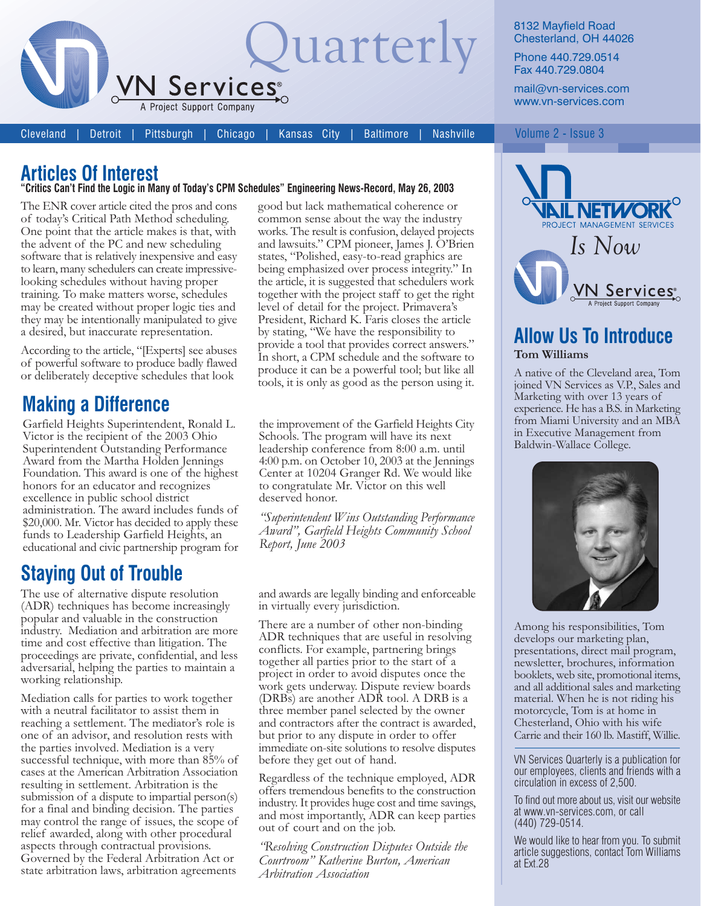

Cleveland Detroit Pittsburgh Chicago

Kansas City **Nashville Baltimore** 

8132 Mayfield Road Chesterland, OH 44026

Phone 440.729.0514 Fax 440.729.0804

mail@vn-services.com www.vn-services.com

Volume 2 - Issue 3

## **Articles Of Interest**

#### "Critics Can't Find the Logic in Many of Today's CPM Schedules" Engineering News-Record, May 26, 2003

The ENR cover article cited the pros and cons of today's Critical Path Method scheduling. One point that the article makes is that, with the advent of the PC and new scheduling software that is relatively inexpensive and easy to learn, many schedulers can create impressivelooking schedules without having proper training. To make matters worse, schedules may be created without proper logic ties and they may be intentionally manipulated to give a desired, but inaccurate representation.

According to the article, "[Experts] see abuses of powerful software to produce badly flawed or deliberately deceptive schedules that look

### **Making a Difference**

Garfield Heights Superintendent, Ronald L. Victor is the recipient of the 2003 Ohio Superintendent Outstanding Performance Award from the Martha Holden Jennings Foundation. This award is one of the highest honors for an educator and recognizes excellence in public school district administration. The award includes funds of \$20,000. Mr. Victor has decided to apply these funds to Leadership Garfield Heights, an educational and civic partnership program for

## **Staying Out of Trouble**

The use of alternative dispute resolution (ADR) techniques has become increasingly popular and valuable in the construction industry. Mediation and arbitration are more time and cost effective than litigation. The proceedings are private, confidential, and less adversarial, helping the parties to maintain a working relationship.

Mediation calls for parties to work together with a neutral facilitator to assist them in reaching a settlement. The mediator's role is one of an advisor, and resolution rests with the parties involved. Mediation is a very successful technique, with more than 85% of cases at the American Arbitration Association resulting in settlement. Arbitration is the submission of a dispute to impartial person(s) for a final and binding decision. The parties may control the range of issues, the scope of relief awarded, along with other procedural aspects through contractual provisions. Governed by the Federal Arbitration Act or state arbitration laws, arbitration agreements

good but lack mathematical coherence or common sense about the way the industry works. The result is confusion, delayed projects and lawsuits." CPM pioneer, James J. O'Brien states, "Polished, easy-to-read graphics are being emphasized over process integrity." In the article, it is suggested that schedulers work together with the project staff to get the right level of detail for the project. Primavera's President, Richard K. Faris closes the article by stating, "We have the responsibility to provide a tool that provides correct answers." In short, a CPM schedule and the software to produce it can be a powerful tool; but like all tools, it is only as good as the person using it.

the improvement of the Garfield Heights City Schools. The program will have its next leadership conference from 8:00 a.m. until 4:00 p.m. on October 10, 2003 at the Jennings Center at 10204 Granger Rd. We would like to congratulate Mr. Victor on this well deserved honor.

"Superintendent Wins Outstanding Performance Award", Garfield Heights Community School Report, June 2003

and awards are legally binding and enforceable in virtually every jurisdiction.

There are a number of other non-binding ADR techniques that are useful in resolving conflicts. For example, partnering brings together all parties prior to the start of a project in order to avoid disputes once the work gets underway. Dispute review boards (DRBs) are another ADR tool. A DRB is a three member panel selected by the owner and contractors after the contract is awarded, but prior to any dispute in order to offer immediate on-site solutions to resolve disputes before they get out of hand.

Regardless of the technique employed, ADR offers tremendous benefits to the construction industry. It provides huge cost and time savings, and most importantly, ADR can keep parties out of court and on the job.

'Resolving Construction Disputes Outside the Courtroom" Katherine Burton, American Arbitration Association



#### **Allow Us To Introduce** Tom Williams

A native of the Cleveland area, Tom joined VN Services as V.P., Sales and Marketing with over 13 years of experience. He has a B.S. in Marketing from Miami University and an MBA in Executive Management from Baldwin-Wallace College.



Among his responsibilities, Tom develops our marketing plan, presentations, direct mail program, newsletter, brochures, information booklets, web site, promotional items, and all additional sales and marketing material. When he is not riding his motorcycle, Tom is at home in Chesterland, Ohio with his wife Carrie and their 160 lb. Mastiff, Willie.

VN Services Quarterly is a publication for our employees, clients and friends with a circulation in excess of 2,500.

To find out more about us, visit our website at www.vn-services.com, or call  $(440)$  729-0514.

We would like to hear from you. To submit article suggestions, contact Tom Williams at Ext.28